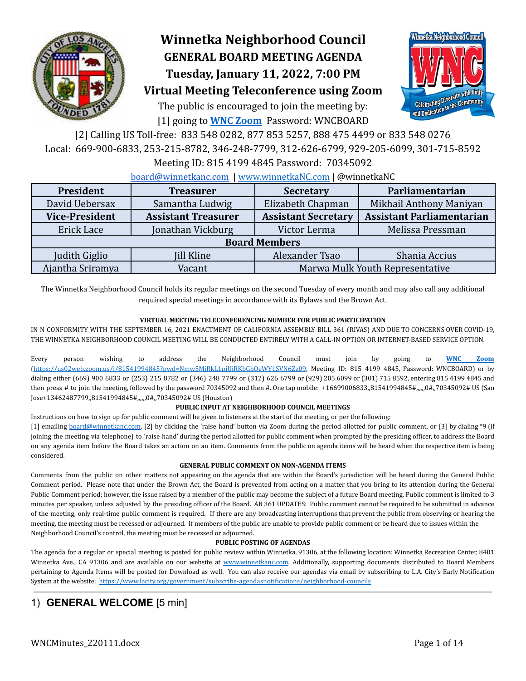

# **Winnetka Neighborhood Council GENERAL BOARD MEETING AGENDA Tuesday, January 11, 2022, 7:00 PM**



## **Virtual Meeting Teleconference using Zoom**

The public is encouraged to join the meeting by: [1] going to **[WNC Zoom](https://us02web.zoom.us/j/81541994845?pwd=Nmw5MjRkL1pjUjRKbGhOeWY1SVN6Zz09)** Password: WNCBOARD

[2] Calling US Toll-free: 833 548 0282, 877 853 5257, 888 475 4499 or 833 548 0276 Local: 669-900-6833, 253-215-8782, 346-248-7799, 312-626-6799, 929-205-6099, 301-715-8592

Meeting ID: 815 4199 4845 Password: 70345092

### [board@winnetkanc.com](mailto:board@winnetkanc.com) | www.winnetkaNC.com | @winnetkaNC

| President<br><b>Treasurer</b> |                            | <b>Secretary</b>                | Parliamentarian                  |  |  |  |  |  |
|-------------------------------|----------------------------|---------------------------------|----------------------------------|--|--|--|--|--|
| David Uebersax                | Samantha Ludwig            | Elizabeth Chapman               | Mikhail Anthony Maniyan          |  |  |  |  |  |
| <b>Vice-President</b>         | <b>Assistant Treasurer</b> | <b>Assistant Secretary</b>      | <b>Assistant Parliamentarian</b> |  |  |  |  |  |
| Erick Lace                    | Jonathan Vickburg          | Victor Lerma                    | Melissa Pressman                 |  |  |  |  |  |
| <b>Board Members</b>          |                            |                                 |                                  |  |  |  |  |  |
| Judith Giglio                 | Jill Kline                 | Alexander Tsao                  | Shania Accius                    |  |  |  |  |  |
| Ajantha Sriramya              | Vacant                     | Marwa Mulk Youth Representative |                                  |  |  |  |  |  |

The Winnetka Neighborhood Council holds its regular meetings on the second Tuesday of every month and may also call any additional required special meetings in accordance with its Bylaws and the Brown Act.

### **VIRTUAL MEETING TELECONFERENCING NUMBER FOR PUBLIC PARTICIPATION**

IN N CONFORMITY WITH THE SEPTEMBER 16, 2021 ENACTMENT OF CALIFORNIA ASSEMBLY BILL 361 (RIVAS) AND DUE TO CONCERNS OVER COVID-19, THE WINNETKA NEIGHBORHOOD COUNCIL MEETING WILL BE CONDUCTED ENTIRELY WITH A CALL-IN OPTION OR INTERNET-BASED SERVICE OPTION.

Every person wishing to address the Neighborhood Council must join by going to **WNC [Zoom](https://us02web.zoom.us/j/81541994845?pwd=Nmw5MjRkL1pjUjRKbGhOeWY1SVN6Zz09)** [\(https://us02web.zoom.us/j/81541994845?pwd=Nmw5MjRkL1pjUjRKbGhOeWY1SVN6Zz09](https://us02web.zoom.us/j/81541994845?pwd=Nmw5MjRkL1pjUjRKbGhOeWY1SVN6Zz09), Meeting ID: 815 4199 4845, Password: WNCBOARD) or by dialing either (669) 900 6833 or (253) 215 8782 or (346) 248 7799 or (312) 626 6799 or (929) 205 6099 or (301) 715 8592, entering 815 4199 4845 and then press # to join the meeting, followed by the password 70345092 and then #. One tap mobile: +16699006833,,81541994845#,,,,,,0#,,70345092# US (San Jose+13462487799,,81541994845#,,,,,,0#,,70345092# US (Houston)

### **PUBLIC INPUT AT NEIGHBORHOOD COUNCIL MEETINGS**

Instructions on how to sign up for public comment will be given to listeners at the start of the meeting, or per the following:

[1] emailing [board@winnetkanc.com,](mailto:board@winnetkanc.com) [2] by clicking the 'raise hand' button via Zoom during the period allotted for public comment, or [3] by dialing \*9 (if joining the meeting via telephone) to 'raise hand' during the period allotted for public comment when prompted by the presiding officer, to address the Board on any agenda item before the Board takes an action on an item. Comments from the public on agenda items will be heard when the respective item is being considered.

### **GENERAL PUBLIC COMMENT ON NON-AGENDA ITEMS**

Comments from the public on other matters not appearing on the agenda that are within the Board's jurisdiction will be heard during the General Public Comment period. Please note that under the Brown Act, the Board is prevented from acting on a matter that you bring to its attention during the General Public Comment period; however, the issue raised by a member of the public may become the subject of a future Board meeting. Public comment is limited to 3 minutes per speaker, unless adjusted by the presiding officer of the Board. AB 361 UPDATES: Public comment cannot be required to be submitted in advance of the meeting, only real-time public comment is required. If there are any broadcasting interruptions that prevent the public from observing or hearing the meeting, the meeting must be recessed or adjourned. If members of the public are unable to provide public comment or be heard due to issues within the Neighborhood Council's control, the meeting must be recessed or adjourned.

### **PUBLIC POSTING OF AGENDAS**

The agenda for a regular or special meeting is posted for public review within Winnetka, 91306, at the following location: Winnetka Recreation Center, 8401 Winnetka Ave., CA 91306 and are available on our website at www.winnetkanc.com. Additionally, supporting documents distributed to Board Members pertaining to Agenda Items will be posted for Download as well. You can also receive our agendas via email by subscribing to L.A. City's Early Notification System at the website: <https://www.lacity.org/government/subscribe-agendasnotifications/neighborhood-councils>

## 1) **GENERAL WELCOME** [5 min]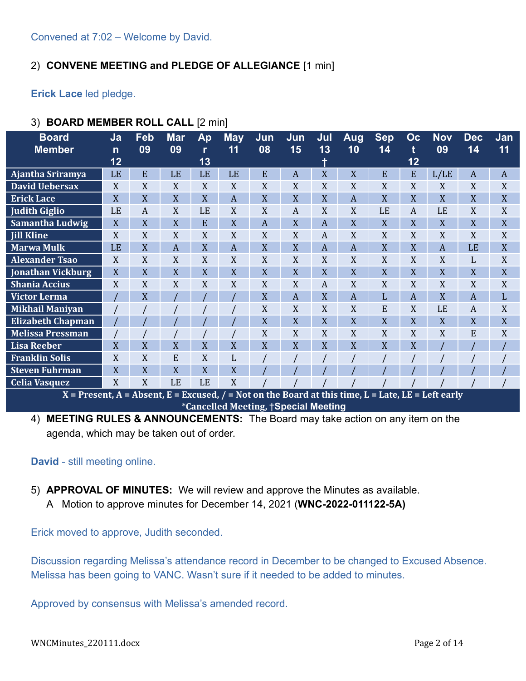## 2) **CONVENE MEETING and PLEDGE OF ALLEGIANCE** [1 min]

**Erick Lace** led pledge.

| 3) BOARD MEMBER ROLL CALL [2 min] |  |
|-----------------------------------|--|
|                                   |  |

| <b>Board</b>                                                                                         | Ja           | Feb | <b>Mar</b>     | Ap        | <b>May</b> | Jun | Jun            | <u>Jul</u>       | <b>Aug</b>     | <b>Sep</b> | Oc             | <b>Nov</b>     | <b>Dec</b>       | Jan            |
|------------------------------------------------------------------------------------------------------|--------------|-----|----------------|-----------|------------|-----|----------------|------------------|----------------|------------|----------------|----------------|------------------|----------------|
| <b>Member</b>                                                                                        | $\mathsf{n}$ | 09  | 09             | r         | 11         | 08  | 15             | 13               | 10             | 14         | t              | 09             | 14               | 11             |
|                                                                                                      | 12           |     |                | 13        |            |     |                | ٠                |                |            | 12             |                |                  |                |
| Ajantha Sriramya                                                                                     | LE           | E   | LE             | LE        | LE         | E   | A              | X                | X              | E          | E              | L/LE           | A                | $\overline{A}$ |
| <b>David Uebersax</b>                                                                                | X            | X   | X              | X         | X          | X   | X              | X                | X              | X          | X              | X              | X                | X              |
| <b>Erick Lace</b>                                                                                    | X            | X   | X              | X         | A          | X   | X              | X                | $\overline{A}$ | X          | X              | X              | X                | X              |
| <b>Judith Giglio</b>                                                                                 | LE           | A   | X              | LE        | X          | X   | A              | X                | X              | LE         | A              | LE             | X                | X              |
| Samantha Ludwig                                                                                      | X            | X   | X              | E         | X          | A   | X              | $\overline{A}$   | X              | X          | X              | X              | X                | X              |
| <b>Jill Kline</b>                                                                                    | X            | X   | X              | X         | X          | X   | X              | $\boldsymbol{A}$ | X              | X          | X              | X              | X                | X              |
| <b>Marwa Mulk</b>                                                                                    | LE           | X   | $\overline{A}$ | X         | A          | X   | X              | $\overline{A}$   | $\overline{A}$ | X          | X              | $\overline{A}$ | LE               | X              |
| <b>Alexander Tsao</b>                                                                                | X            | X   | X              | X         | X          | X   | X              | X                | X              | X          | X              | X              | L                | X              |
| <b>Jonathan Vickburg</b>                                                                             | X            | X   | X              | X         | X          | X   | X              | X                | X              | X          | X              | X              | X                | X              |
| <b>Shania Accius</b>                                                                                 | X            | X   | X              | X         | X          | X   | X              | $\boldsymbol{A}$ | X              | X          | X              | X              | X                | X              |
| <b>Victor Lerma</b>                                                                                  |              | X   |                |           |            | X   | $\overline{A}$ | X                | $\overline{A}$ | L          | $\overline{A}$ | X              | $\boldsymbol{A}$ | L              |
| <b>Mikhail Maniyan</b>                                                                               |              |     |                |           |            | X   | X              | X                | X              | E          | X              | LE             | $\boldsymbol{A}$ | X              |
| <b>Elizabeth Chapman</b>                                                                             |              |     |                |           |            | X   | X              | X                | X              | X          | X              | X              | X                | X              |
| <b>Melissa Pressman</b>                                                                              |              |     |                |           |            | X   | X              | X                | X              | X          | X              | X              | E                | X              |
| <b>Lisa Reeber</b>                                                                                   | X            | X   | X              | X         | X          | X   | X              | X                | X              | X          | X              |                |                  |                |
| <b>Franklin Solis</b>                                                                                | X            | X   | E              | X         | L          |     |                |                  |                |            |                |                |                  |                |
| <b>Steven Fuhrman</b>                                                                                | X            | X   | X              | X         | X          |     |                |                  |                |            |                |                |                  |                |
| <b>Celia Vasquez</b>                                                                                 | X            | X   | LE             | <b>LE</b> | X          |     |                |                  |                |            |                |                |                  |                |
| $X =$ Present, A = Absent, E = Excused, / = Not on the Board at this time, L = Late, LE = Left early |              |     |                |           |            |     |                |                  |                |            |                |                |                  |                |

\***Cancelled Meeting,** †**Special Meeting**

4) **MEETING RULES & ANNOUNCEMENTS:** The Board may take action on any item on the agenda, which may be taken out of order.

### **David** - still meeting online.

- 5) **APPROVAL OF MINUTES:** We will review and approve the Minutes as available.
	- A Motion to approve minutes for December 14, 2021 (**WNC-2022-011122-5A)**

Erick moved to approve, Judith seconded.

Discussion regarding Melissa's attendance record in December to be changed to Excused Absence. Melissa has been going to VANC. Wasn't sure if it needed to be added to minutes.

Approved by consensus with Melissa's amended record.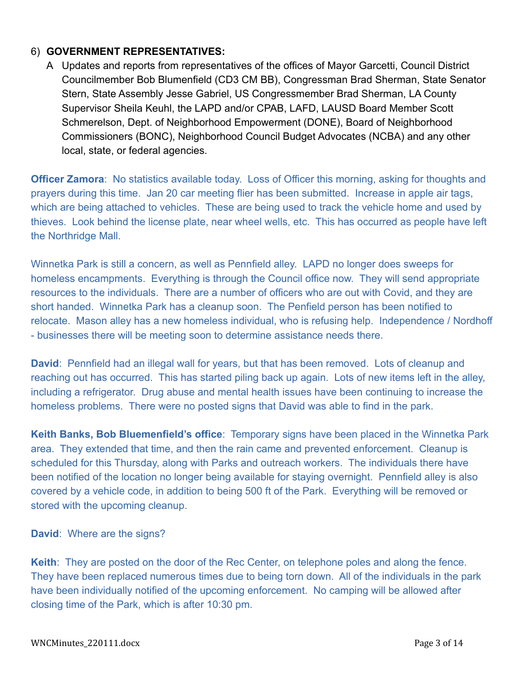## 6) **GOVERNMENT REPRESENTATIVES:**

A Updates and reports from representatives of the offices of Mayor Garcetti, Council District Councilmember Bob Blumenfield (CD3 CM BB), Congressman Brad Sherman, State Senator Stern, State Assembly Jesse Gabriel, US Congressmember Brad Sherman, LA County Supervisor Sheila Keuhl, the LAPD and/or CPAB, LAFD, LAUSD Board Member Scott Schmerelson, Dept. of Neighborhood Empowerment (DONE), Board of Neighborhood Commissioners (BONC), Neighborhood Council Budget Advocates (NCBA) and any other local, state, or federal agencies.

**Officer Zamora:** No statistics available today. Loss of Officer this morning, asking for thoughts and prayers during this time. Jan 20 car meeting flier has been submitted. Increase in apple air tags, which are being attached to vehicles. These are being used to track the vehicle home and used by thieves. Look behind the license plate, near wheel wells, etc. This has occurred as people have left the Northridge Mall.

Winnetka Park is still a concern, as well as Pennfield alley. LAPD no longer does sweeps for homeless encampments. Everything is through the Council office now. They will send appropriate resources to the individuals. There are a number of officers who are out with Covid, and they are short handed. Winnetka Park has a cleanup soon. The Penfield person has been notified to relocate. Mason alley has a new homeless individual, who is refusing help. Independence / Nordhoff - businesses there will be meeting soon to determine assistance needs there.

**David**: Pennfield had an illegal wall for years, but that has been removed. Lots of cleanup and reaching out has occurred. This has started piling back up again. Lots of new items left in the alley, including a refrigerator. Drug abuse and mental health issues have been continuing to increase the homeless problems. There were no posted signs that David was able to find in the park.

**Keith Banks, Bob Bluemenfield's office**: Temporary signs have been placed in the Winnetka Park area. They extended that time, and then the rain came and prevented enforcement. Cleanup is scheduled for this Thursday, along with Parks and outreach workers. The individuals there have been notified of the location no longer being available for staying overnight. Pennfield alley is also covered by a vehicle code, in addition to being 500 ft of the Park. Everything will be removed or stored with the upcoming cleanup.

**David**: Where are the signs?

**Keith**: They are posted on the door of the Rec Center, on telephone poles and along the fence. They have been replaced numerous times due to being torn down. All of the individuals in the park have been individually notified of the upcoming enforcement. No camping will be allowed after closing time of the Park, which is after 10:30 pm.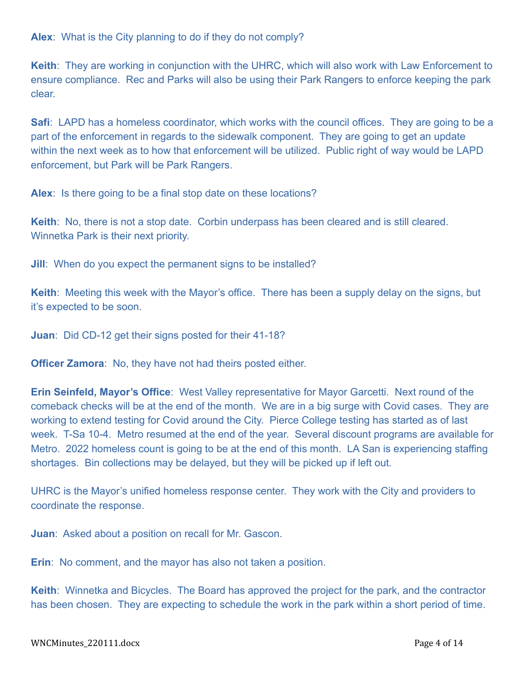**Alex**: What is the City planning to do if they do not comply?

**Keith**: They are working in conjunction with the UHRC, which will also work with Law Enforcement to ensure compliance. Rec and Parks will also be using their Park Rangers to enforce keeping the park clear.

**Safi**: LAPD has a homeless coordinator, which works with the council offices. They are going to be a part of the enforcement in regards to the sidewalk component. They are going to get an update within the next week as to how that enforcement will be utilized. Public right of way would be LAPD enforcement, but Park will be Park Rangers.

**Alex**: Is there going to be a final stop date on these locations?

**Keith**: No, there is not a stop date. Corbin underpass has been cleared and is still cleared. Winnetka Park is their next priority.

**Jill**: When do you expect the permanent signs to be installed?

**Keith**: Meeting this week with the Mayor's office. There has been a supply delay on the signs, but it's expected to be soon.

**Juan**: Did CD-12 get their signs posted for their 41-18?

**Officer Zamora**: No, they have not had theirs posted either.

**Erin Seinfeld, Mayor's Office**: West Valley representative for Mayor Garcetti. Next round of the comeback checks will be at the end of the month. We are in a big surge with Covid cases. They are working to extend testing for Covid around the City. Pierce College testing has started as of last week. T-Sa 10-4. Metro resumed at the end of the year. Several discount programs are available for Metro. 2022 homeless count is going to be at the end of this month. LA San is experiencing staffing shortages. Bin collections may be delayed, but they will be picked up if left out.

UHRC is the Mayor's unified homeless response center. They work with the City and providers to coordinate the response.

**Juan**: Asked about a position on recall for Mr. Gascon.

**Erin**: No comment, and the mayor has also not taken a position.

**Keith**: Winnetka and Bicycles. The Board has approved the project for the park, and the contractor has been chosen. They are expecting to schedule the work in the park within a short period of time.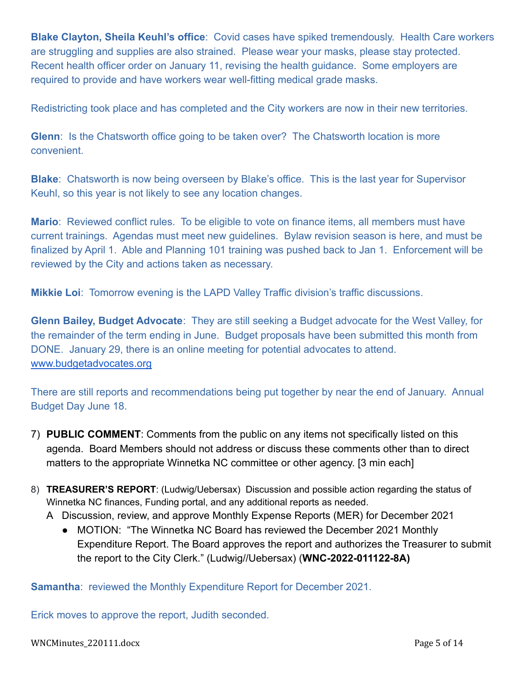**Blake Clayton, Sheila Keuhl's office**: Covid cases have spiked tremendously. Health Care workers are struggling and supplies are also strained. Please wear your masks, please stay protected. Recent health officer order on January 11, revising the health guidance. Some employers are required to provide and have workers wear well-fitting medical grade masks.

Redistricting took place and has completed and the City workers are now in their new territories.

**Glenn:** Is the Chatsworth office going to be taken over? The Chatsworth location is more convenient.

**Blake**: Chatsworth is now being overseen by Blake's office. This is the last year for Supervisor Keuhl, so this year is not likely to see any location changes.

**Mario**: Reviewed conflict rules. To be eligible to vote on finance items, all members must have current trainings. Agendas must meet new guidelines. Bylaw revision season is here, and must be finalized by April 1. Able and Planning 101 training was pushed back to Jan 1. Enforcement will be reviewed by the City and actions taken as necessary.

**Mikkie Loi**: Tomorrow evening is the LAPD Valley Traffic division's traffic discussions.

**Glenn Bailey, Budget Advocate**: They are still seeking a Budget advocate for the West Valley, for the remainder of the term ending in June. Budget proposals have been submitted this month from DONE. January 29, there is an online meeting for potential advocates to attend. [www.budgetadvocates.org](http://www.budgetadvocates.org)

There are still reports and recommendations being put together by near the end of January. Annual Budget Day June 18.

- 7) **PUBLIC COMMENT**: Comments from the public on any items not specifically listed on this agenda. Board Members should not address or discuss these comments other than to direct matters to the appropriate Winnetka NC committee or other agency. [3 min each]
- 8) **TREASURER'S REPORT**: (Ludwig/Uebersax) Discussion and possible action regarding the status of Winnetka NC finances, Funding portal, and any additional reports as needed.
	- A Discussion, review, and approve Monthly Expense Reports (MER) for December 2021
		- MOTION: "The Winnetka NC Board has reviewed the December 2021 Monthly Expenditure Report. The Board approves the report and authorizes the Treasurer to submit the report to the City Clerk." (Ludwig//Uebersax) (**WNC-2022-011122-8A)**

**Samantha:** reviewed the Monthly Expenditure Report for December 2021.

Erick moves to approve the report, Judith seconded.

WNCMinutes\_220111.docx Page 5 of 14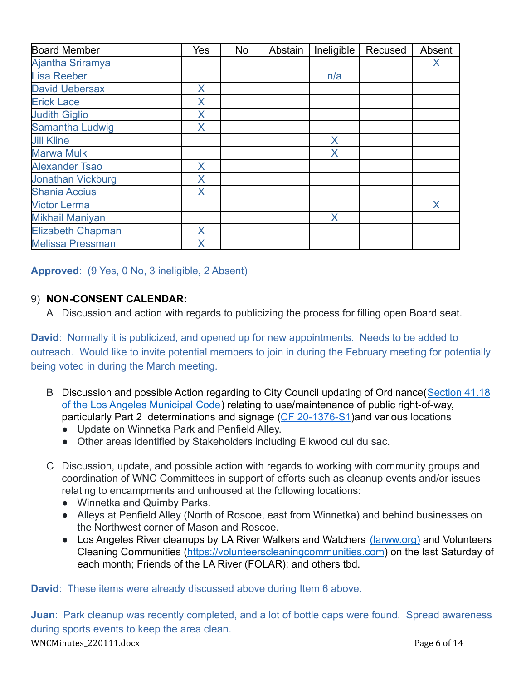| <b>Board Member</b>      | Yes | No | Abstain | Ineligible | Recused | Absent |
|--------------------------|-----|----|---------|------------|---------|--------|
| Ajantha Sriramya         |     |    |         |            |         | X      |
| <b>Lisa Reeber</b>       |     |    |         | n/a        |         |        |
| <b>David Uebersax</b>    | X.  |    |         |            |         |        |
| <b>Erick Lace</b>        | X   |    |         |            |         |        |
| <b>Judith Giglio</b>     | X   |    |         |            |         |        |
| Samantha Ludwig          | X   |    |         |            |         |        |
| <b>Jill Kline</b>        |     |    |         | X          |         |        |
| <b>Marwa Mulk</b>        |     |    |         | X          |         |        |
| <b>Alexander Tsao</b>    | X.  |    |         |            |         |        |
| <b>Jonathan Vickburg</b> | Χ   |    |         |            |         |        |
| <b>Shania Accius</b>     | X   |    |         |            |         |        |
| <b>Victor Lerma</b>      |     |    |         |            |         | X      |
| <b>Mikhail Maniyan</b>   |     |    |         | X          |         |        |
| <b>Elizabeth Chapman</b> | X   |    |         |            |         |        |
| <b>Melissa Pressman</b>  | X   |    |         |            |         |        |

**Approved**: (9 Yes, 0 No, 3 ineligible, 2 Absent)

## 9) **NON-CONSENT CALENDAR:**

A Discussion and action with regards to publicizing the process for filling open Board seat.

**David**: Normally it is publicized, and opened up for new appointments. Needs to be added to outreach. Would like to invite potential members to join in during the February meeting for potentially being voted in during the March meeting.

- B Discussion and possible Action regarding to City Council updating of Ordinance([Section 41.18](https://clkrep.lacity.org/onlinedocs/2020/20-1376-S1_ord_187127_09-03-21.pdf) [of the Los Angeles Municipal Code](https://clkrep.lacity.org/onlinedocs/2020/20-1376-S1_ord_187127_09-03-21.pdf)) relating to use/maintenance of public right-of-way, particularly Part 2 determinations and signage (CF [20-1376-S1\)](https://cityclerk.lacity.org/lacityclerkconnect/index.cfm?fa=ccfi.viewrecord&cfnumber=20-1376-S1)and various locations
	- Update on Winnetka Park and Penfield Alley.
	- Other areas identified by Stakeholders including Elkwood cul du sac.
- C Discussion, update, and possible action with regards to working with community groups and coordination of WNC Committees in support of efforts such as cleanup events and/or issues relating to encampments and unhoused at the following locations:
	- Winnetka and Quimby Parks.
	- Alleys at Penfield Alley (North of Roscoe, east from Winnetka) and behind businesses on the Northwest corner of Mason and Roscoe.
	- Los Angeles River cleanups by LA River Walkers and Watchers [\(larww.org\)](http://larww.org/) and Volunteers Cleaning Communities (<https://volunteerscleaningcommunities.com>) on the last Saturday of each month; Friends of the LA River (FOLAR); and others tbd.

**David**: These items were already discussed above during Item 6 above.

**Juan**: Park cleanup was recently completed, and a lot of bottle caps were found. Spread awareness during sports events to keep the area clean. WNCMinutes\_220111.docx Page 6 of 14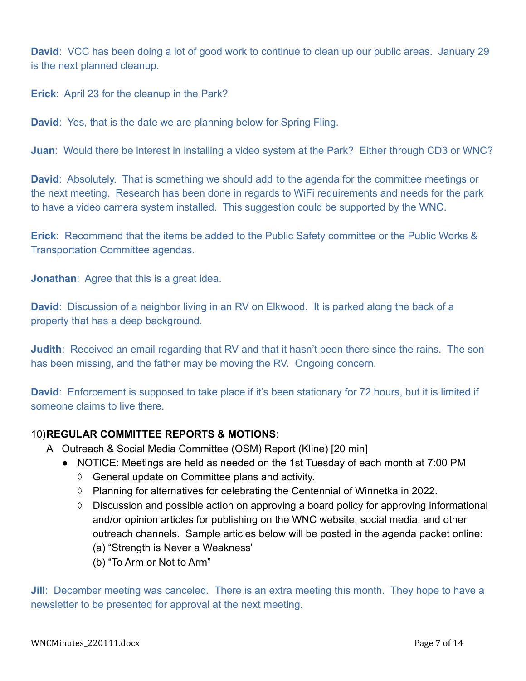**David**: VCC has been doing a lot of good work to continue to clean up our public areas. January 29 is the next planned cleanup.

**Erick**: April 23 for the cleanup in the Park?

**David**: Yes, that is the date we are planning below for Spring Fling.

**Juan**: Would there be interest in installing a video system at the Park? Either through CD3 or WNC?

**David:** Absolutely. That is something we should add to the agenda for the committee meetings or the next meeting. Research has been done in regards to WiFi requirements and needs for the park to have a video camera system installed. This suggestion could be supported by the WNC.

**Erick**: Recommend that the items be added to the Public Safety committee or the Public Works & Transportation Committee agendas.

**Jonathan**: Agree that this is a great idea.

**David:** Discussion of a neighbor living in an RV on Elkwood. It is parked along the back of a property that has a deep background.

**Judith:** Received an email regarding that RV and that it hasn't been there since the rains. The son has been missing, and the father may be moving the RV. Ongoing concern.

**David:** Enforcement is supposed to take place if it's been stationary for 72 hours, but it is limited if someone claims to live there.

## 10)**REGULAR COMMITTEE REPORTS & MOTIONS**:

- A Outreach & Social Media Committee (OSM) Report (Kline) [20 min]
	- NOTICE: Meetings are held as needed on the 1st Tuesday of each month at 7:00 PM
		- ◊ General update on Committee plans and activity.
		- ◊ Planning for alternatives for celebrating the Centennial of Winnetka in 2022.
		- ◊ Discussion and possible action on approving a board policy for approving informational and/or opinion articles for publishing on the WNC website, social media, and other outreach channels. Sample articles below will be posted in the agenda packet online:
			- (a) "Strength is Never a Weakness"
			- (b) "To Arm or Not to Arm"

**Jill:** December meeting was canceled. There is an extra meeting this month. They hope to have a newsletter to be presented for approval at the next meeting.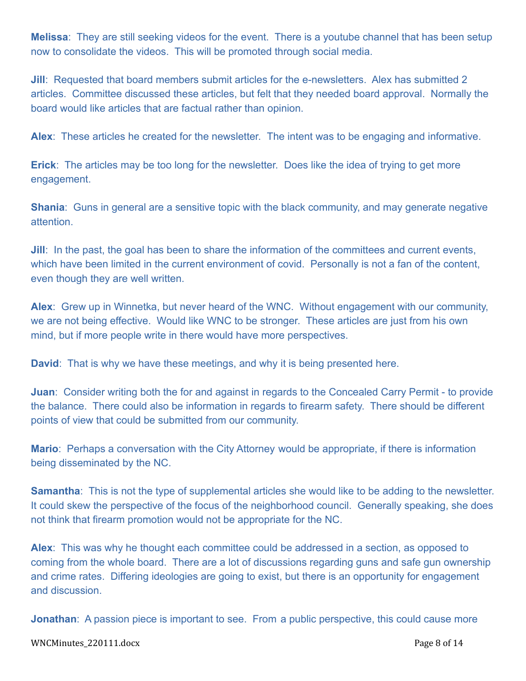**Melissa**: They are still seeking videos for the event. There is a youtube channel that has been setup now to consolidate the videos. This will be promoted through social media.

**Jill:** Requested that board members submit articles for the e-newsletters. Alex has submitted 2 articles. Committee discussed these articles, but felt that they needed board approval. Normally the board would like articles that are factual rather than opinion.

**Alex**: These articles he created for the newsletter. The intent was to be engaging and informative.

**Erick**: The articles may be too long for the newsletter. Does like the idea of trying to get more engagement.

**Shania**: Guns in general are a sensitive topic with the black community, and may generate negative attention.

**Jill:** In the past, the goal has been to share the information of the committees and current events, which have been limited in the current environment of covid. Personally is not a fan of the content, even though they are well written.

**Alex**: Grew up in Winnetka, but never heard of the WNC. Without engagement with our community, we are not being effective. Would like WNC to be stronger. These articles are just from his own mind, but if more people write in there would have more perspectives.

**David**: That is why we have these meetings, and why it is being presented here.

**Juan**: Consider writing both the for and against in regards to the Concealed Carry Permit - to provide the balance. There could also be information in regards to firearm safety. There should be different points of view that could be submitted from our community.

**Mario**: Perhaps a conversation with the City Attorney would be appropriate, if there is information being disseminated by the NC.

**Samantha:** This is not the type of supplemental articles she would like to be adding to the newsletter. It could skew the perspective of the focus of the neighborhood council. Generally speaking, she does not think that firearm promotion would not be appropriate for the NC.

**Alex**: This was why he thought each committee could be addressed in a section, as opposed to coming from the whole board. There are a lot of discussions regarding guns and safe gun ownership and crime rates. Differing ideologies are going to exist, but there is an opportunity for engagement and discussion.

**Jonathan**: A passion piece is important to see. From a public perspective, this could cause more

WNCMinutes\_220111.docx Page 8 of 14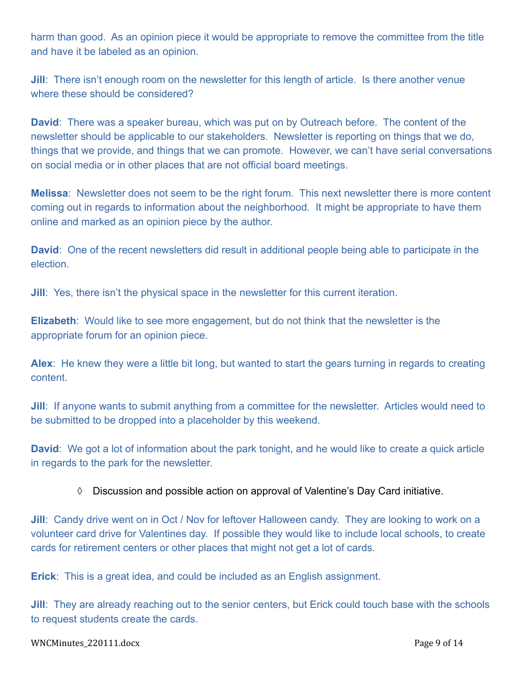harm than good. As an opinion piece it would be appropriate to remove the committee from the title and have it be labeled as an opinion.

**Jill:** There isn't enough room on the newsletter for this length of article. Is there another venue where these should be considered?

**David**: There was a speaker bureau, which was put on by Outreach before. The content of the newsletter should be applicable to our stakeholders. Newsletter is reporting on things that we do, things that we provide, and things that we can promote. However, we can't have serial conversations on social media or in other places that are not official board meetings.

**Melissa**: Newsletter does not seem to be the right forum. This next newsletter there is more content coming out in regards to information about the neighborhood. It might be appropriate to have them online and marked as an opinion piece by the author.

**David**: One of the recent newsletters did result in additional people being able to participate in the election.

**Jill:** Yes, there isn't the physical space in the newsletter for this current iteration.

**Elizabeth**: Would like to see more engagement, but do not think that the newsletter is the appropriate forum for an opinion piece.

**Alex**: He knew they were a little bit long, but wanted to start the gears turning in regards to creating content.

**Jill:** If anyone wants to submit anything from a committee for the newsletter. Articles would need to be submitted to be dropped into a placeholder by this weekend.

**David:** We got a lot of information about the park tonight, and he would like to create a quick article in regards to the park for the newsletter.

### ◊ Discussion and possible action on approval of Valentine's Day Card initiative.

**Jill**: Candy drive went on in Oct / Nov for leftover Halloween candy. They are looking to work on a volunteer card drive for Valentines day. If possible they would like to include local schools, to create cards for retirement centers or other places that might not get a lot of cards.

**Erick**: This is a great idea, and could be included as an English assignment.

**Jill:** They are already reaching out to the senior centers, but Erick could touch base with the schools to request students create the cards.

### WNCMinutes\_220111.docx Page 9 of 14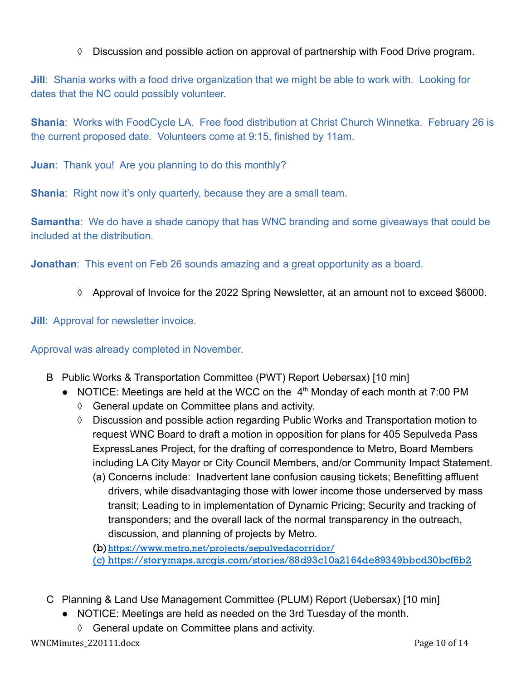◊ Discussion and possible action on approval of partnership with Food Drive program.

**Jill**: Shania works with a food drive organization that we might be able to work with. Looking for dates that the NC could possibly volunteer.

**Shania**: Works with FoodCycle LA. Free food distribution at Christ Church Winnetka. February 26 is the current proposed date. Volunteers come at 9:15, finished by 11am.

**Juan**: Thank you! Are you planning to do this monthly?

**Shania:** Right now it's only quarterly, because they are a small team.

**Samantha**: We do have a shade canopy that has WNC branding and some giveaways that could be included at the distribution.

**Jonathan:** This event on Feb 26 sounds amazing and a great opportunity as a board.

◊ Approval of Invoice for the 2022 Spring Newsletter, at an amount not to exceed \$6000.

**Jill**: Approval for newsletter invoice.

Approval was already completed in November.

- B Public Works & Transportation Committee (PWT) Report Uebersax) [10 min]
	- NOTICE: Meetings are held at the WCC on the  $4<sup>th</sup>$  Monday of each month at 7:00 PM
		- ◊ General update on Committee plans and activity.
		- ◊ Discussion and possible action regarding Public Works and Transportation motion to request WNC Board to draft a motion in opposition for plans for 405 Sepulveda Pass ExpressLanes Project, for the drafting of correspondence to Metro, Board Members including LA City Mayor or City Council Members, and/or Community Impact Statement.
			- (a) Concerns include: Inadvertent lane confusion causing tickets; Benefitting affluent drivers, while disadvantaging those with lower income those underserved by mass transit; Leading to in implementation of Dynamic Pricing; Security and tracking of transponders; and the overall lack of the normal transparency in the outreach, discussion, and planning of projects by Metro.

(b)<https://www.metro.net/projects/sepulvedacorridor/> (c) <https://storymaps.arcgis.com/stories/88d93c10a2164de89349bbcd30bcf6b2>

- C Planning & Land Use Management Committee (PLUM) Report (Uebersax) [10 min]
	- NOTICE: Meetings are held as needed on the 3rd Tuesday of the month.
		- ◊ General update on Committee plans and activity.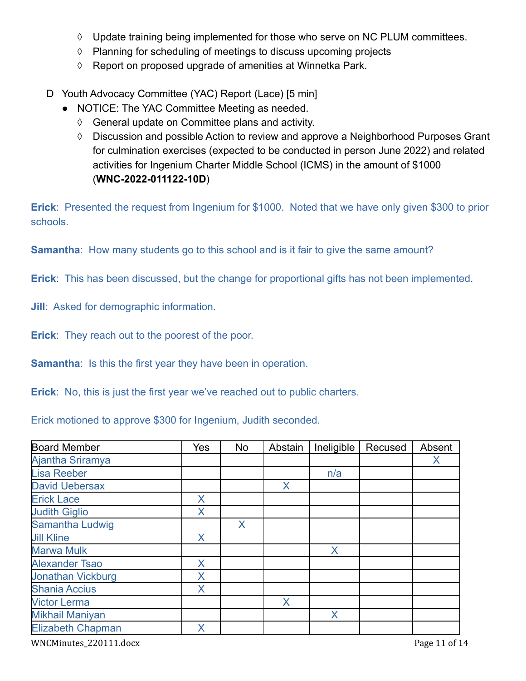- ◊ Update training being implemented for those who serve on NC PLUM committees.
- ◊ Planning for scheduling of meetings to discuss upcoming projects
- ◊ Report on proposed upgrade of amenities at Winnetka Park.
- D Youth Advocacy Committee (YAC) Report (Lace) [5 min]
	- NOTICE: The YAC Committee Meeting as needed.
		- ◊ General update on Committee plans and activity.
		- ◊ Discussion and possible Action to review and approve a Neighborhood Purposes Grant for culmination exercises (expected to be conducted in person June 2022) and related activities for Ingenium Charter Middle School (ICMS) in the amount of \$1000 (**WNC-2022-011122-10D**)

**Erick**: Presented the request from Ingenium for \$1000. Noted that we have only given \$300 to prior schools.

**Samantha:** How many students go to this school and is it fair to give the same amount?

**Erick**: This has been discussed, but the change for proportional gifts has not been implemented.

**Jill**: Asked for demographic information.

**Erick:** They reach out to the poorest of the poor.

**Samantha:** Is this the first year they have been in operation.

**Erick**: No, this is just the first year we've reached out to public charters.

Erick motioned to approve \$300 for Ingenium, Judith seconded.

| <b>Board Member</b>      | <b>Yes</b> | <b>No</b> | Abstain | Ineligible | Recused | Absent |
|--------------------------|------------|-----------|---------|------------|---------|--------|
| Ajantha Sriramya         |            |           |         |            |         | X      |
| <b>Lisa Reeber</b>       |            |           |         | n/a        |         |        |
| <b>David Uebersax</b>    |            |           | X       |            |         |        |
| <b>Erick Lace</b>        | X          |           |         |            |         |        |
| <b>Judith Giglio</b>     | X          |           |         |            |         |        |
| Samantha Ludwig          |            | X         |         |            |         |        |
| <b>Jill Kline</b>        | X          |           |         |            |         |        |
| <b>Marwa Mulk</b>        |            |           |         | X          |         |        |
| <b>Alexander Tsao</b>    | X          |           |         |            |         |        |
| <b>Jonathan Vickburg</b> | Χ          |           |         |            |         |        |
| <b>Shania Accius</b>     | X          |           |         |            |         |        |
| <b>Victor Lerma</b>      |            |           | X       |            |         |        |
| <b>Mikhail Maniyan</b>   |            |           |         | X          |         |        |
| <b>Elizabeth Chapman</b> | X          |           |         |            |         |        |

WNCMinutes\_220111.docx Page 11 of 14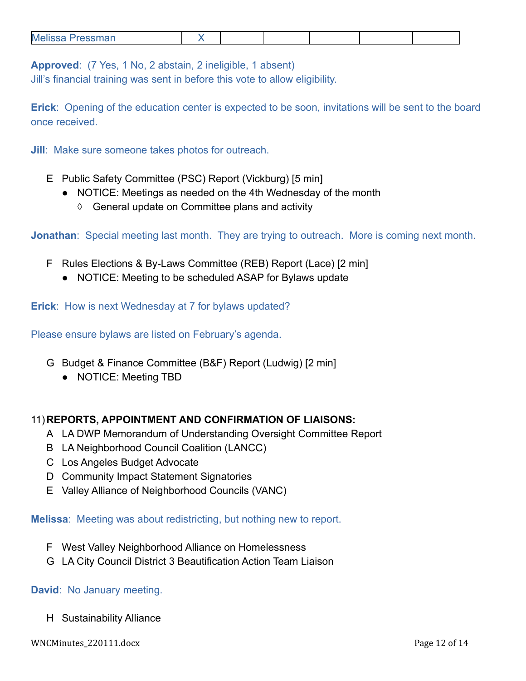| Me<br>$S^{max}$ |  |  |  |
|-----------------|--|--|--|
|                 |  |  |  |

**Approved**: (7 Yes, 1 No, 2 abstain, 2 ineligible, 1 absent)

Jill's financial training was sent in before this vote to allow eligibility.

**Erick**: Opening of the education center is expected to be soon, invitations will be sent to the board once received.

**Jill**: Make sure someone takes photos for outreach.

- E Public Safety Committee (PSC) Report (Vickburg) [5 min]
	- NOTICE: Meetings as needed on the 4th Wednesday of the month
		- ◊ General update on Committee plans and activity

**Jonathan**: Special meeting last month. They are trying to outreach. More is coming next month.

- F Rules Elections & By-Laws Committee (REB) Report (Lace) [2 min]
	- **●** NOTICE: Meeting to be scheduled ASAP for Bylaws update

**Erick**: How is next Wednesday at 7 for bylaws updated?

Please ensure bylaws are listed on February's agenda.

- G Budget & Finance Committee (B&F) Report (Ludwig) [2 min]
	- NOTICE: Meeting TBD

## 11)**REPORTS, APPOINTMENT AND CONFIRMATION OF LIAISONS:**

- A LA DWP Memorandum of Understanding Oversight Committee Report
- B LA Neighborhood Council Coalition (LANCC)
- C Los Angeles Budget Advocate
- D Community Impact Statement Signatories
- E Valley Alliance of Neighborhood Councils (VANC)

**Melissa**: Meeting was about redistricting, but nothing new to report.

- F West Valley Neighborhood Alliance on Homelessness
- G LA City Council District 3 Beautification Action Team Liaison

### **David**: No January meeting.

H Sustainability Alliance

WNCMinutes\_220111.docx Page 12 of 14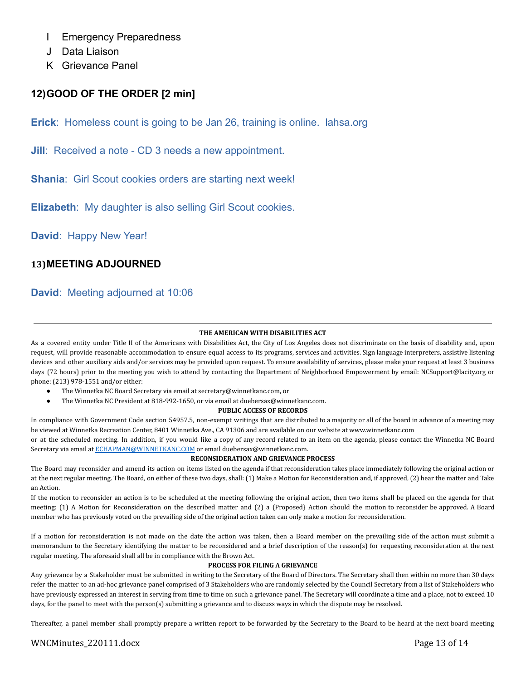- I Emergency Preparedness
- J Data Liaison
- K Grievance Panel

## **12)GOOD OF THE ORDER [2 min]**

**Erick**: Homeless count is going to be Jan 26, training is online. lahsa.org

**Jill**: Received a note - CD 3 needs a new appointment.

**Shania**: Girl Scout cookies orders are starting next week!

**Elizabeth**: My daughter is also selling Girl Scout cookies.

**David**: Happy New Year!

### **13)MEETING ADJOURNED**

## **David**: Meeting adjourned at 10:06

### **THE AMERICAN WITH DISABILITIES ACT**

As a covered entity under Title II of the Americans with Disabilities Act, the City of Los Angeles does not discriminate on the basis of disability and, upon request, will provide reasonable accommodation to ensure equal access to its programs, services and activities. Sign language interpreters, assistive listening devices and other auxiliary aids and/or services may be provided upon request. To ensure availability of services, please make your request at least 3 business days (72 hours) prior to the meeting you wish to attend by contacting the Department of Neighborhood Empowerment by email: NCSupport@lacity.org or phone: (213) 978-1551 and/or either:

- The Winnetka NC Board Secretary via email at secretary@winnetkanc.com, or
- The Winnetka NC President at 818-992-1650, or via email at duebersax@winnetkanc.com.

#### **PUBLIC ACCESS OF RECORDS**

In compliance with Government Code section 54957.5, non-exempt writings that are distributed to a majority or all of the board in advance of a meeting may be viewed at Winnetka Recreation Center, 8401 Winnetka Ave., CA 91306 and are available on our website at www.winnetkanc.com

or at the scheduled meeting. In addition, if you would like a copy of any record related to an item on the agenda, please contact the Winnetka NC Board Secretary via email at [ECHAPMAN@WINNETKANC.COM](mailto:ECHAPMAN@WINNETKANC.COM) or email duebersax@winnetkanc.com.

#### **RECONSIDERATION AND GRIEVANCE PROCESS**

The Board may reconsider and amend its action on items listed on the agenda if that reconsideration takes place immediately following the original action or at the next regular meeting. The Board, on either of these two days, shall: (1) Make a Motion for Reconsideration and, if approved, (2) hear the matter and Take an Action.

If the motion to reconsider an action is to be scheduled at the meeting following the original action, then two items shall be placed on the agenda for that meeting: (1) A Motion for Reconsideration on the described matter and (2) a {Proposed} Action should the motion to reconsider be approved. A Board member who has previously voted on the prevailing side of the original action taken can only make a motion for reconsideration.

If a motion for reconsideration is not made on the date the action was taken, then a Board member on the prevailing side of the action must submit a memorandum to the Secretary identifying the matter to be reconsidered and a brief description of the reason(s) for requesting reconsideration at the next regular meeting. The aforesaid shall all be in compliance with the Brown Act.

#### **PROCESS FOR FILING A GRIEVANCE**

Any grievance by a Stakeholder must be submitted in writing to the Secretary of the Board of Directors. The Secretary shall then within no more than 30 days refer the matter to an ad-hoc grievance panel comprised of 3 Stakeholders who are randomly selected by the Council Secretary from a list of Stakeholders who have previously expressed an interest in serving from time to time on such a grievance panel. The Secretary will coordinate a time and a place, not to exceed 10 days, for the panel to meet with the person(s) submitting a grievance and to discuss ways in which the dispute may be resolved.

Thereafter, a panel member shall promptly prepare a written report to be forwarded by the Secretary to the Board to be heard at the next board meeting

### WNCMinutes\_220111.docx Page 13 of 14